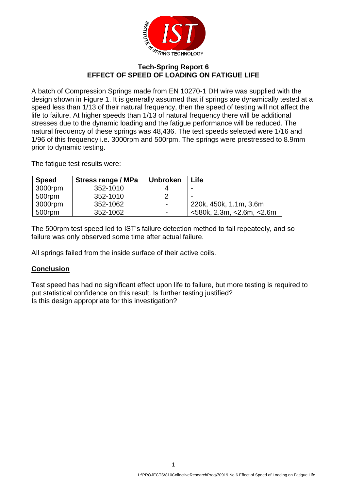

## **Tech-Spring Report 6 EFFECT OF SPEED OF LOADING ON FATIGUE LIFE**

A batch of Compression Springs made from EN 10270-1 DH wire was supplied with the design shown in Figure 1. It is generally assumed that if springs are dynamically tested at a speed less than 1/13 of their natural frequency, then the speed of testing will not affect the life to failure. At higher speeds than 1/13 of natural frequency there will be additional stresses due to the dynamic loading and the fatigue performance will be reduced. The natural frequency of these springs was 48,436. The test speeds selected were 1/16 and 1/96 of this frequency i.e. 3000rpm and 500rpm. The springs were prestressed to 8.9mm prior to dynamic testing.

The fatigue test results were:

| <b>Speed</b> | Stress range / MPa | <b>Unbroken</b> | Life                               |
|--------------|--------------------|-----------------|------------------------------------|
| 3000rpm      | 352-1010           |                 |                                    |
| 500rpm       | 352-1010           |                 |                                    |
| 3000rpm      | 352-1062           | ۰               | 220k, 450k, 1.1m, 3.6m             |
| 500rpm       | 352-1062           | -               | $<$ 580k, 2.3m, $<$ 2.6m, $<$ 2.6m |

The 500rpm test speed led to IST's failure detection method to fail repeatedly, and so failure was only observed some time after actual failure.

All springs failed from the inside surface of their active coils.

## **Conclusion**

Test speed has had no significant effect upon life to failure, but more testing is required to put statistical confidence on this result. Is further testing justified? Is this design appropriate for this investigation?